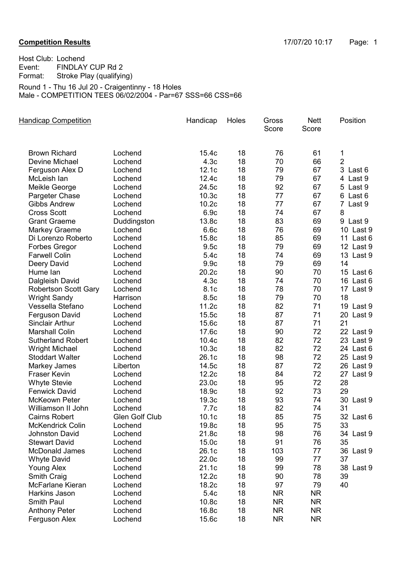Host Club: Lochend<br>Event: FINDLAY Event: FINDLAY CUP Rd 2<br>Format: Stroke Play (qualifyir Stroke Play (qualifying) Round 1 - Thu 16 Jul 20 - Craigentinny - 18 Holes

Male - COMPETITION TEES 06/02/2004 - Par=67 SSS=66 CSS=66

| <b>Handicap Competition</b>           |                    | Handicap                   | Holes    | Gross<br>Score | <b>Nett</b><br>Score | Position            |
|---------------------------------------|--------------------|----------------------------|----------|----------------|----------------------|---------------------|
|                                       |                    |                            |          |                |                      |                     |
| <b>Brown Richard</b>                  | Lochend<br>Lochend | 15.4c                      | 18<br>18 | 76<br>70       | 61<br>66             | 1<br>$\overline{2}$ |
| Devine Michael                        |                    | 4.3 <sub>c</sub><br>12.1c  |          |                | 67                   |                     |
| Ferguson Alex D                       | Lochend            |                            | 18<br>18 | 79             | 67                   | 3 Last 6            |
| McLeish lan                           | Lochend            | 12.4c                      | 18       | 79<br>92       | 67                   | 4 Last 9            |
| Meikle George                         | Lochend            | 24.5c<br>10.3 <sub>c</sub> | 18       | 77             | 67                   | 5 Last 9            |
| Pargeter Chase<br><b>Gibbs Andrew</b> | Lochend            |                            |          |                |                      | 6<br>Last 6         |
|                                       | Lochend            | 10.2c                      | 18       | 77             | 67                   | 7 Last 9            |
| <b>Cross Scott</b>                    | Lochend            | 6.9c                       | 18       | 74             | 67                   | 8                   |
| <b>Grant Graeme</b>                   | Duddingston        | 13.8c                      | 18       | 83<br>76       | 69                   | 9 Last 9            |
| Markey Graeme                         | Lochend            | 6.6c                       | 18       |                | 69                   | 10 Last 9           |
| Di Lorenzo Roberto                    | Lochend            | 15.8c                      | 18       | 85             | 69                   | 11 Last 6           |
| <b>Forbes Gregor</b>                  | Lochend            | 9.5c                       | 18       | 79             | 69                   | 12 Last 9           |
| <b>Farwell Colin</b>                  | Lochend            | 5.4c                       | 18       | 74             | 69                   | 13 Last 9           |
| Deery David                           | Lochend            | 9.9c                       | 18       | 79             | 69                   | 14                  |
| Hume lan                              | Lochend            | 20.2c                      | 18       | 90             | 70                   | 15 Last 6           |
| Dalgleish David                       | Lochend            | 4.3 <sub>c</sub>           | 18       | 74             | 70                   | 16 Last 6           |
| <b>Robertson Scott Gary</b>           | Lochend            | 8.1c                       | 18       | 78             | 70                   | 17 Last 9           |
| <b>Wright Sandy</b>                   | Harrison           | 8.5c                       | 18       | 79             | 70                   | 18                  |
| Vessella Stefano                      | Lochend            | 11.2c                      | 18       | 82             | 71                   | 19 Last 9           |
| Ferguson David                        | Lochend            | 15.5c                      | 18       | 87             | 71                   | 20 Last 9           |
| <b>Sinclair Arthur</b>                | Lochend            | 15.6c                      | 18       | 87             | 71                   | 21                  |
| <b>Marshall Colin</b>                 | Lochend            | 17.6c                      | 18       | 90             | 72                   | 22 Last 9           |
| <b>Sutherland Robert</b>              | Lochend            | 10.4c                      | 18       | 82             | 72                   | 23 Last 9           |
| <b>Wright Michael</b>                 | Lochend            | 10.3 <sub>c</sub>          | 18       | 82             | 72                   | 24 Last 6           |
| <b>Stoddart Walter</b>                | Lochend            | 26.1c                      | 18       | 98             | 72                   | 25 Last 9           |
| <b>Markey James</b>                   | Liberton           | 14.5c                      | 18       | 87             | 72                   | 26 Last 9           |
| <b>Fraser Kevin</b>                   | Lochend            | 12.2c                      | 18       | 84             | 72                   | 27 Last 9           |
| <b>Whyte Stevie</b>                   | Lochend            | 23.0c                      | 18       | 95             | 72                   | 28                  |
| <b>Fenwick David</b>                  | Lochend            | 18.9c                      | 18       | 92             | 73                   | 29                  |
| McKeown Peter                         | Lochend            | 19.3c                      | 18       | 93             | 74                   | 30 Last 9           |
| Williamson II John                    | Lochend            | 7.7c                       | 18       | 82             | 74                   | 31                  |
| <b>Cairns Robert</b>                  | Glen Golf Club     | 10.1c                      | 18       | 85             | 75                   | 32 Last 6           |
| <b>McKendrick Colin</b>               | Lochend            | 19.8c                      | 18       | 95             | 75                   | 33                  |
| <b>Johnston David</b>                 | Lochend            | 21.8c                      | 18       | 98             | 76                   | 34 Last 9           |
| <b>Stewart David</b>                  | Lochend            | 15.0c                      | 18       | 91             | 76                   | 35                  |
| <b>McDonald James</b>                 | Lochend            | 26.1c                      | 18       | 103            | 77                   | 36 Last 9           |
| <b>Whyte David</b>                    | Lochend            | 22.0c                      | 18       | 99             | 77                   | 37                  |
| <b>Young Alex</b>                     | Lochend            | 21.1c                      | 18       | 99             | 78                   | 38 Last 9           |
| Smith Craig                           | Lochend            | 12.2c                      | 18       | 90             | 78                   | 39                  |
| McFarlane Kieran                      | Lochend            | 18.2c                      | 18       | 97             | 79                   | 40                  |
| Harkins Jason                         | Lochend            | 5.4c                       | 18       | <b>NR</b>      | <b>NR</b>            |                     |
| <b>Smith Paul</b>                     | Lochend            | 10.8c                      | 18       | <b>NR</b>      | <b>NR</b>            |                     |
| <b>Anthony Peter</b>                  | Lochend            | 16.8c                      | 18       | <b>NR</b>      | <b>NR</b>            |                     |
| Ferguson Alex                         | Lochend            | 15.6c                      | 18       | <b>NR</b>      | <b>NR</b>            |                     |